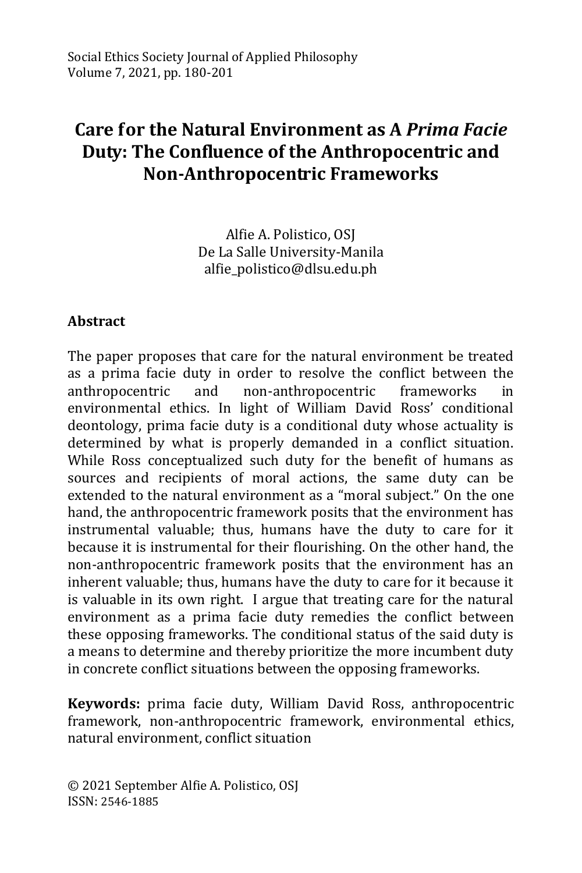# **Care for the Natural Environment as A** *Prima Facie* **Duty: The Confluence of the Anthropocentric and Non-Anthropocentric Frameworks**

Alfie A. Polistico, OSJ De La Salle University-Manila alfie\_polistico@dlsu.edu.ph

#### **Abstract**

The paper proposes that care for the natural environment be treated as a prima facie duty in order to resolve the conflict between the anthropocentric and non-anthropocentric frameworks in environmental ethics. In light of William David Ross' conditional deontology, prima facie duty is a conditional duty whose actuality is determined by what is properly demanded in a conflict situation. While Ross conceptualized such duty for the benefit of humans as sources and recipients of moral actions, the same duty can be extended to the natural environment as a "moral subject." On the one hand, the anthropocentric framework posits that the environment has instrumental valuable; thus, humans have the duty to care for it because it is instrumental for their flourishing. On the other hand, the non-anthropocentric framework posits that the environment has an inherent valuable; thus, humans have the duty to care for it because it is valuable in its own right. I argue that treating care for the natural environment as a prima facie duty remedies the conflict between these opposing frameworks. The conditional status of the said duty is a means to determine and thereby prioritize the more incumbent duty in concrete conflict situations between the opposing frameworks.

**Keywords:** prima facie duty, William David Ross, anthropocentric framework, non-anthropocentric framework, environmental ethics, natural environment, conflict situation

© 2021 September Alfie A. Polistico, OSJ ISSN: 2546-1885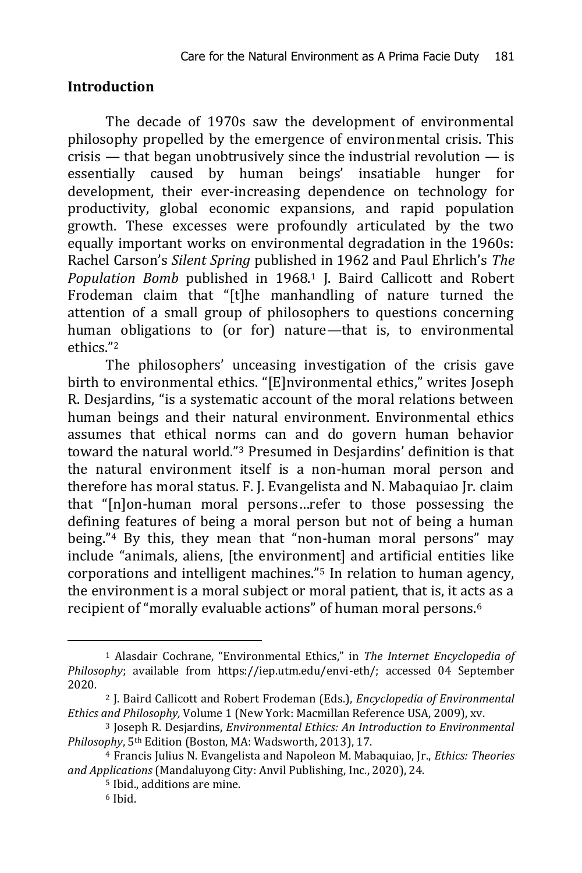#### **Introduction**

The decade of 1970s saw the development of environmental philosophy propelled by the emergence of environmental crisis. This crisis — that began unobtrusively since the industrial revolution — is essentially caused by human beings' insatiable hunger for development, their ever-increasing dependence on technology for productivity, global economic expansions, and rapid population growth. These excesses were profoundly articulated by the two equally important works on environmental degradation in the 1960s: Rachel Carson's *Silent Spring* published in 1962 and Paul Ehrlich's *The*  Population Bomb published in 1968.<sup>1</sup> J. Baird Callicott and Robert Frodeman claim that "[t]he manhandling of nature turned the attention of a small group of philosophers to questions concerning human obligations to (or for) nature—that is, to environmental ethics."<sup>2</sup>

The philosophers' unceasing investigation of the crisis gave birth to environmental ethics. "[E]nvironmental ethics," writes Joseph R. Desjardins, "is a systematic account of the moral relations between human beings and their natural environment. Environmental ethics assumes that ethical norms can and do govern human behavior toward the natural world."<sup>3</sup> Presumed in Desjardins' definition is that the natural environment itself is a non-human moral person and therefore has moral status. F. J. Evangelista and N. Mabaquiao Jr. claim that "[n]on-human moral persons…refer to those possessing the defining features of being a moral person but not of being a human being."<sup>4</sup> By this, they mean that "non-human moral persons" may include "animals, aliens, [the environment] and artificial entities like corporations and intelligent machines."<sup>5</sup> In relation to human agency, the environment is a moral subject or moral patient, that is, it acts as a recipient of "morally evaluable actions" of human moral persons.<sup>6</sup>

<sup>1</sup> Alasdair Cochrane, "Environmental Ethics," in *The Internet Encyclopedia of Philosophy*; available from [https://iep.utm.edu/envi-eth/;](https://iep.utm.edu/envi-eth/) accessed 04 September 2020.

<sup>2</sup> J. Baird Callicott and Robert Frodeman (Eds.), *Encyclopedia of Environmental Ethics and Philosophy,* Volume 1 (New York: Macmillan Reference USA, 2009), xv.

<sup>3</sup> Joseph R. Desjardins, *Environmental Ethics: An Introduction to Environmental Philosophy*, 5th Edition (Boston, MA: Wadsworth, 2013), 17.

<sup>4</sup> Francis Julius N. Evangelista and Napoleon M. Mabaquiao, Jr., *Ethics: Theories and Applications* (Mandaluyong City: Anvil Publishing, Inc., 2020), 24.

<sup>5</sup> Ibid., additions are mine.

<sup>6</sup> Ibid.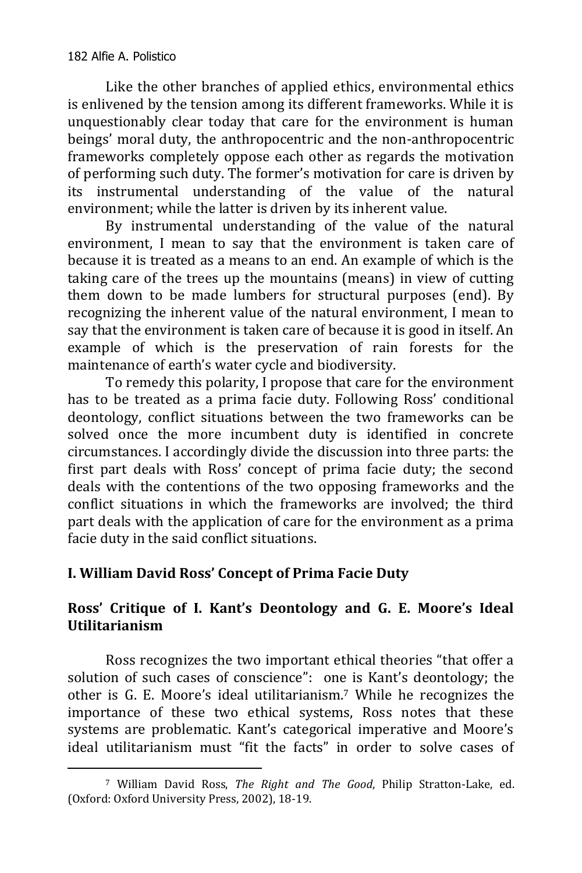Like the other branches of applied ethics, environmental ethics is enlivened by the tension among its different frameworks. While it is unquestionably clear today that care for the environment is human beings' moral duty, the anthropocentric and the non-anthropocentric frameworks completely oppose each other as regards the motivation of performing such duty. The former's motivation for care is driven by its instrumental understanding of the value of the natural environment; while the latter is driven by its inherent value.

By instrumental understanding of the value of the natural environment, I mean to say that the environment is taken care of because it is treated as a means to an end. An example of which is the taking care of the trees up the mountains (means) in view of cutting them down to be made lumbers for structural purposes (end). By recognizing the inherent value of the natural environment, I mean to say that the environment is taken care of because it is good in itself. An example of which is the preservation of rain forests for the maintenance of earth's water cycle and biodiversity.

To remedy this polarity, I propose that care for the environment has to be treated as a prima facie duty. Following Ross' conditional deontology, conflict situations between the two frameworks can be solved once the more incumbent duty is identified in concrete circumstances. I accordingly divide the discussion into three parts: the first part deals with Ross' concept of prima facie duty; the second deals with the contentions of the two opposing frameworks and the conflict situations in which the frameworks are involved; the third part deals with the application of care for the environment as a prima facie duty in the said conflict situations.

# **I. William David Ross' Concept of Prima Facie Duty**

# **Ross' Critique of I. Kant's Deontology and G. E. Moore's Ideal Utilitarianism**

Ross recognizes the two important ethical theories "that offer a solution of such cases of conscience": one is Kant's deontology; the other is G. E. Moore's ideal utilitarianism.<sup>7</sup> While he recognizes the importance of these two ethical systems, Ross notes that these systems are problematic. Kant's categorical imperative and Moore's ideal utilitarianism must "fit the facts" in order to solve cases of

<sup>-</sup><sup>7</sup> William David Ross, *The Right and The Good*, Philip Stratton-Lake, ed. (Oxford: Oxford University Press, 2002), 18-19.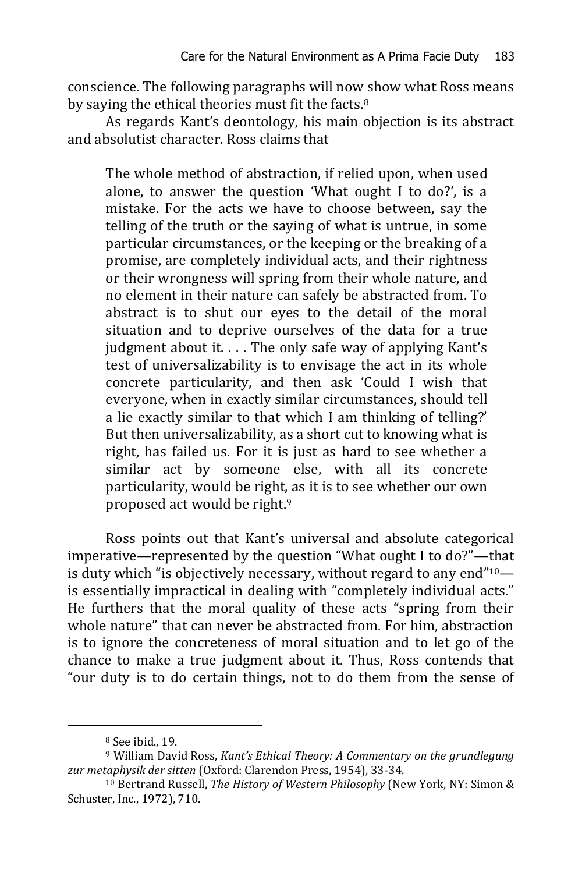conscience. The following paragraphs will now show what Ross means by saying the ethical theories must fit the facts.<sup>8</sup>

As regards Kant's deontology, his main objection is its abstract and absolutist character. Ross claims that

The whole method of abstraction, if relied upon, when used alone, to answer the question 'What ought I to do?', is a mistake. For the acts we have to choose between, say the telling of the truth or the saying of what is untrue, in some particular circumstances, or the keeping or the breaking of a promise, are completely individual acts, and their rightness or their wrongness will spring from their whole nature, and no element in their nature can safely be abstracted from. To abstract is to shut our eyes to the detail of the moral situation and to deprive ourselves of the data for a true judgment about it. . . . The only safe way of applying Kant's test of universalizability is to envisage the act in its whole concrete particularity, and then ask 'Could I wish that everyone, when in exactly similar circumstances, should tell a lie exactly similar to that which I am thinking of telling?' But then universalizability, as a short cut to knowing what is right, has failed us. For it is just as hard to see whether a similar act by someone else, with all its concrete particularity, would be right, as it is to see whether our own proposed act would be right.<sup>9</sup>

Ross points out that Kant's universal and absolute categorical imperative—represented by the question "What ought I to do?"—that is duty which "is objectively necessary, without regard to any end" $10$ is essentially impractical in dealing with "completely individual acts." He furthers that the moral quality of these acts "spring from their whole nature" that can never be abstracted from. For him, abstraction is to ignore the concreteness of moral situation and to let go of the chance to make a true judgment about it. Thus, Ross contends that "our duty is to do certain things, not to do them from the sense of

<sup>8</sup> See ibid., 19.

<sup>9</sup> William David Ross, *Kant's Ethical Theory: A Commentary on the grundlegung zur metaphysik der sitten* (Oxford: Clarendon Press, 1954), 33-34.

<sup>10</sup> Bertrand Russell, *The History of Western Philosophy* (New York, NY: Simon & Schuster, Inc., 1972), 710.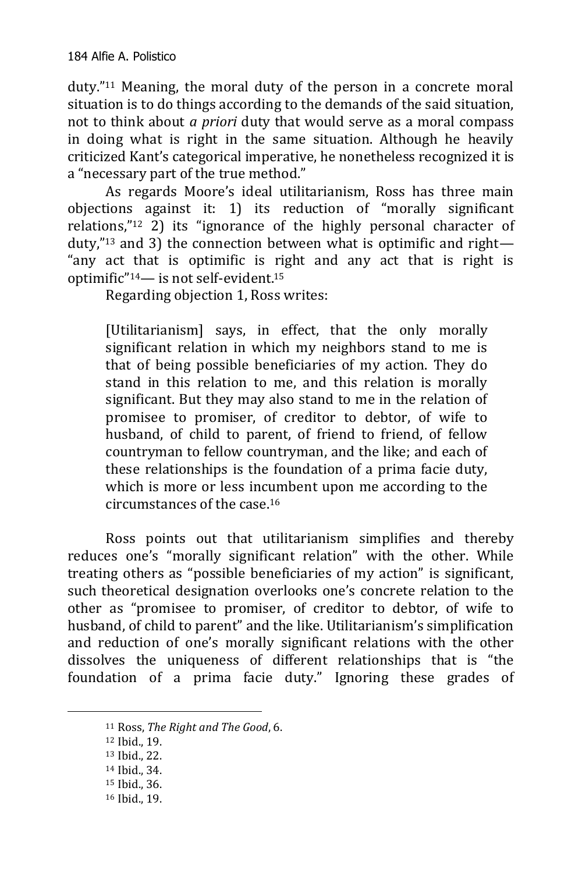duty."<sup>11</sup> Meaning, the moral duty of the person in a concrete moral situation is to do things according to the demands of the said situation, not to think about *a priori* duty that would serve as a moral compass in doing what is right in the same situation. Although he heavily criticized Kant's categorical imperative, he nonetheless recognized it is a "necessary part of the true method."

As regards Moore's ideal utilitarianism, Ross has three main objections against it: 1) its reduction of "morally significant relations,"<sup>12</sup> 2) its "ignorance of the highly personal character of duty,"<sup>13</sup> and 3) the connection between what is optimific and right— "any act that is optimific is right and any act that is right is optimific"14— is not self-evident.<sup>15</sup>

Regarding objection 1, Ross writes:

[Utilitarianism] says, in effect, that the only morally significant relation in which my neighbors stand to me is that of being possible beneficiaries of my action. They do stand in this relation to me, and this relation is morally significant. But they may also stand to me in the relation of promisee to promiser, of creditor to debtor, of wife to husband, of child to parent, of friend to friend, of fellow countryman to fellow countryman, and the like; and each of these relationships is the foundation of a prima facie duty, which is more or less incumbent upon me according to the circumstances of the case.<sup>16</sup>

Ross points out that utilitarianism simplifies and thereby reduces one's "morally significant relation" with the other. While treating others as "possible beneficiaries of my action" is significant, such theoretical designation overlooks one's concrete relation to the other as "promisee to promiser, of creditor to debtor, of wife to husband, of child to parent" and the like. Utilitarianism's simplification and reduction of one's morally significant relations with the other dissolves the uniqueness of different relationships that is "the foundation of a prima facie duty." Ignoring these grades of

-

<sup>16</sup> Ibid., 19.

<sup>11</sup> Ross, *The Right and The Good*, 6.

<sup>12</sup> Ibid., 19.

<sup>13</sup> Ibid., 22.

<sup>14</sup> Ibid., 34.

<sup>15</sup> Ibid., 36.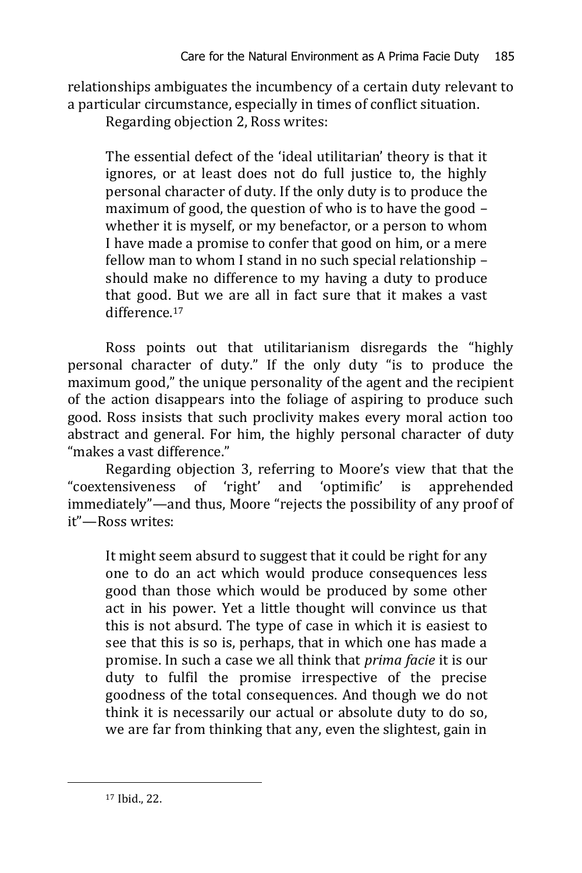relationships ambiguates the incumbency of a certain duty relevant to a particular circumstance, especially in times of conflict situation.

Regarding objection 2, Ross writes:

The essential defect of the 'ideal utilitarian' theory is that it ignores, or at least does not do full justice to, the highly personal character of duty. If the only duty is to produce the maximum of good, the question of who is to have the good – whether it is myself, or my benefactor, or a person to whom I have made a promise to confer that good on him, or a mere fellow man to whom I stand in no such special relationship – should make no difference to my having a duty to produce that good. But we are all in fact sure that it makes a vast difference<sup>17</sup>

Ross points out that utilitarianism disregards the "highly personal character of duty." If the only duty "is to produce the maximum good," the unique personality of the agent and the recipient of the action disappears into the foliage of aspiring to produce such good. Ross insists that such proclivity makes every moral action too abstract and general. For him, the highly personal character of duty "makes a vast difference."

Regarding objection 3, referring to Moore's view that that the "coextensiveness of 'right' and 'optimific' is apprehended immediately"—and thus, Moore "rejects the possibility of any proof of it"—Ross writes:

It might seem absurd to suggest that it could be right for any one to do an act which would produce consequences less good than those which would be produced by some other act in his power. Yet a little thought will convince us that this is not absurd. The type of case in which it is easiest to see that this is so is, perhaps, that in which one has made a promise. In such a case we all think that *prima facie* it is our duty to fulfil the promise irrespective of the precise goodness of the total consequences. And though we do not think it is necessarily our actual or absolute duty to do so, we are far from thinking that any, even the slightest, gain in

<sup>17</sup> Ibid., 22.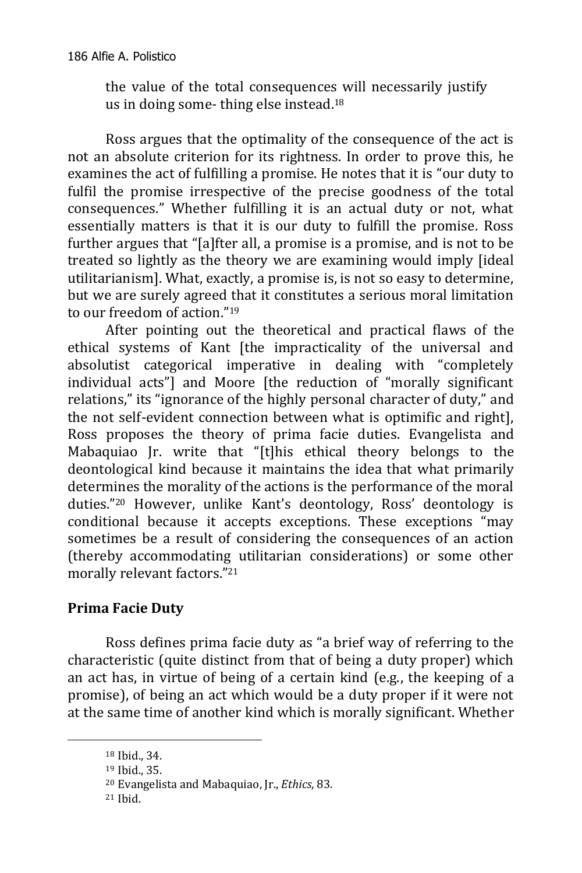the value of the total consequences will necessarily justify us in doing some- thing else instead.<sup>18</sup>

Ross argues that the optimality of the consequence of the act is not an absolute criterion for its rightness. In order to prove this, he examines the act of fulfilling a promise. He notes that it is "our duty to fulfil the promise irrespective of the precise goodness of the total consequences." Whether fulfilling it is an actual duty or not, what essentially matters is that it is our duty to fulfill the promise. Ross further argues that "[a]fter all, a promise is a promise, and is not to be treated so lightly as the theory we are examining would imply [ideal utilitarianism]. What, exactly, a promise is, is not so easy to determine, but we are surely agreed that it constitutes a serious moral limitation to our freedom of action."<sup>19</sup>

After pointing out the theoretical and practical flaws of the ethical systems of Kant [the impracticality of the universal and absolutist categorical imperative in dealing with "completely individual acts"] and Moore [the reduction of "morally significant relations," its "ignorance of the highly personal character of duty," and the not self-evident connection between what is optimific and right], Ross proposes the theory of prima facie duties. Evangelista and Mabaquiao Jr. write that "[t]his ethical theory belongs to the deontological kind because it maintains the idea that what primarily determines the morality of the actions is the performance of the moral duties."<sup>20</sup> However, unlike Kant's deontology, Ross' deontology is conditional because it accepts exceptions. These exceptions "may sometimes be a result of considering the consequences of an action (thereby accommodating utilitarian considerations) or some other morally relevant factors."<sup>21</sup>

# **Prima Facie Duty**

Ross defines prima facie duty as "a brief way of referring to the characteristic (quite distinct from that of being a duty proper) which an act has, in virtue of being of a certain kind (e.g., the keeping of a promise), of being an act which would be a duty proper if it were not at the same time of another kind which is morally significant. Whether

<sup>18</sup> Ibid., 34.

<sup>19</sup> Ibid., 35.

<sup>20</sup> Evangelista and Mabaquiao, Jr., *Ethics*, 83.

<sup>21</sup> Ibid.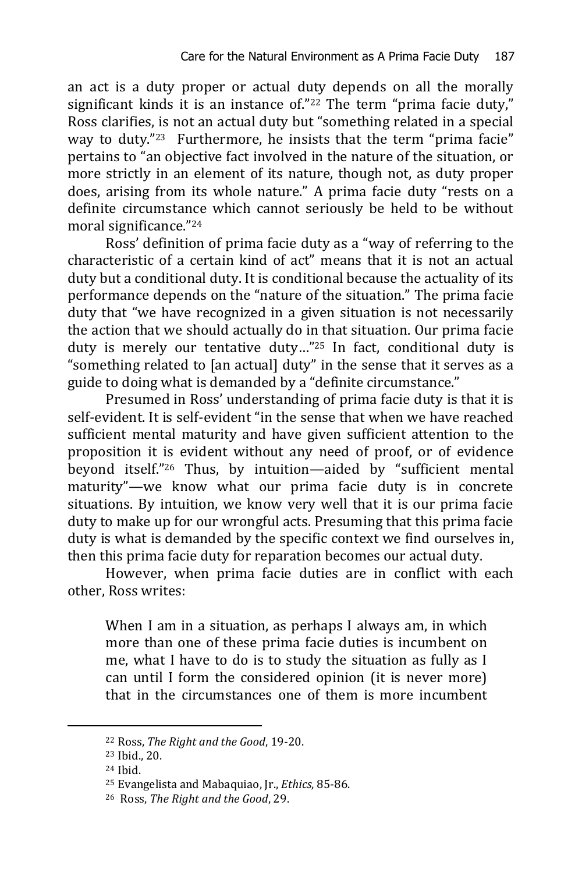an act is a duty proper or actual duty depends on all the morally significant kinds it is an instance of."<sup>22</sup> The term "prima facie duty," Ross clarifies, is not an actual duty but "something related in a special way to duty."23 Furthermore, he insists that the term "prima facie" pertains to "an objective fact involved in the nature of the situation, or more strictly in an element of its nature, though not, as duty proper does, arising from its whole nature." A prima facie duty "rests on a definite circumstance which cannot seriously be held to be without moral significance."<sup>24</sup>

Ross' definition of prima facie duty as a "way of referring to the characteristic of a certain kind of act" means that it is not an actual duty but a conditional duty. It is conditional because the actuality of its performance depends on the "nature of the situation." The prima facie duty that "we have recognized in a given situation is not necessarily the action that we should actually do in that situation. Our prima facie duty is merely our tentative duty…"<sup>25</sup> In fact, conditional duty is "something related to [an actual] duty" in the sense that it serves as a guide to doing what is demanded by a "definite circumstance."

Presumed in Ross' understanding of prima facie duty is that it is self-evident. It is self-evident "in the sense that when we have reached sufficient mental maturity and have given sufficient attention to the proposition it is evident without any need of proof, or of evidence beyond itself."<sup>26</sup> Thus, by intuition—aided by "sufficient mental maturity"—we know what our prima facie duty is in concrete situations. By intuition, we know very well that it is our prima facie duty to make up for our wrongful acts. Presuming that this prima facie duty is what is demanded by the specific context we find ourselves in, then this prima facie duty for reparation becomes our actual duty.

However, when prima facie duties are in conflict with each other, Ross writes:

When I am in a situation, as perhaps I always am, in which more than one of these prima facie duties is incumbent on me, what I have to do is to study the situation as fully as I can until I form the considered opinion (it is never more) that in the circumstances one of them is more incumbent

<sup>22</sup> Ross, *The Right and the Good*, 19-20.

<sup>23</sup> Ibid., 20.

<sup>24</sup> Ibid.

<sup>25</sup> Evangelista and Mabaquiao, Jr., *Ethics*, 85-86.

<sup>26</sup> Ross, *The Right and the Good*, 29.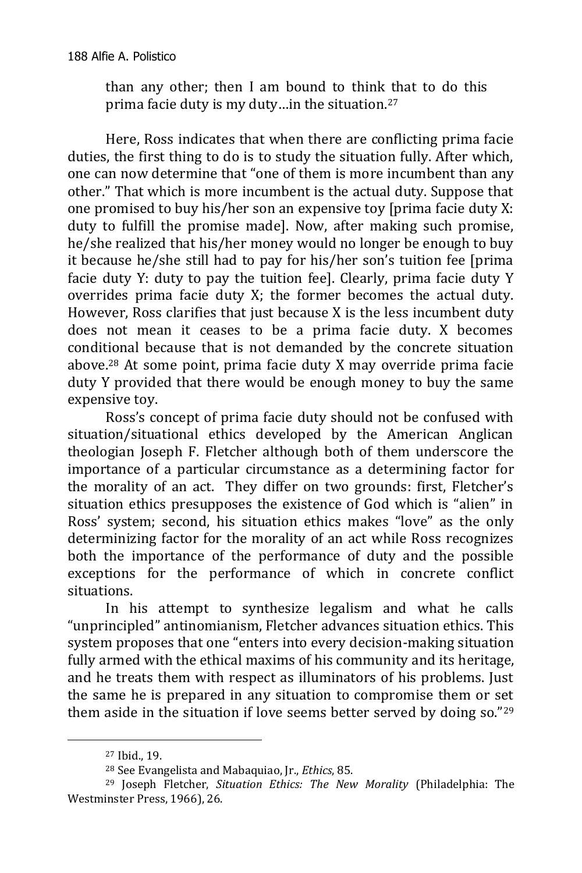than any other; then I am bound to think that to do this prima facie duty is my duty…in the situation.<sup>27</sup>

Here, Ross indicates that when there are conflicting prima facie duties, the first thing to do is to study the situation fully. After which, one can now determine that "one of them is more incumbent than any other." That which is more incumbent is the actual duty. Suppose that one promised to buy his/her son an expensive toy [prima facie duty X: duty to fulfill the promise made]. Now, after making such promise, he/she realized that his/her money would no longer be enough to buy it because he/she still had to pay for his/her son's tuition fee [prima facie duty Y: duty to pay the tuition fee]. Clearly, prima facie duty Y overrides prima facie duty X; the former becomes the actual duty. However, Ross clarifies that just because X is the less incumbent duty does not mean it ceases to be a prima facie duty. X becomes conditional because that is not demanded by the concrete situation above.<sup>28</sup> At some point, prima facie duty X may override prima facie duty Y provided that there would be enough money to buy the same expensive toy.

Ross's concept of prima facie duty should not be confused with situation/situational ethics developed by the American Anglican theologian Joseph F. Fletcher although both of them underscore the importance of a particular circumstance as a determining factor for the morality of an act. They differ on two grounds: first, Fletcher's situation ethics presupposes the existence of God which is "alien" in Ross' system; second, his situation ethics makes "love" as the only determinizing factor for the morality of an act while Ross recognizes both the importance of the performance of duty and the possible exceptions for the performance of which in concrete conflict situations.

In his attempt to synthesize legalism and what he calls "unprincipled" antinomianism, Fletcher advances situation ethics. This system proposes that one "enters into every decision-making situation fully armed with the ethical maxims of his community and its heritage, and he treats them with respect as illuminators of his problems. Just the same he is prepared in any situation to compromise them or set them aside in the situation if love seems better served by doing so."<sup>29</sup>

<sup>27</sup> Ibid., 19.

<sup>28</sup> See Evangelista and Mabaquiao, Jr., *Ethics*, 85.

<sup>29</sup> Joseph Fletcher, *Situation Ethics: The New Morality* (Philadelphia: The Westminster Press, 1966), 26.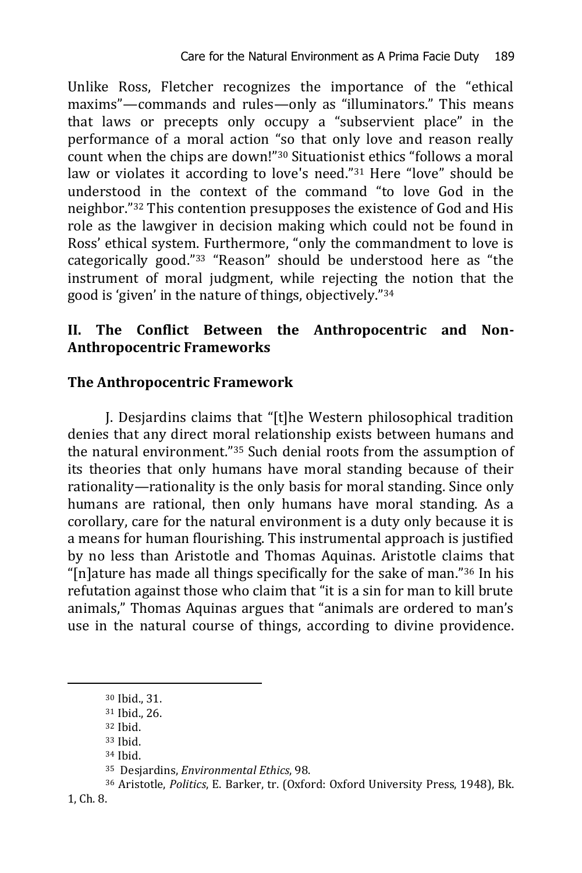Unlike Ross, Fletcher recognizes the importance of the "ethical maxims"—commands and rules—only as "illuminators." This means that laws or precepts only occupy a "subservient place" in the performance of a moral action "so that only love and reason really count when the chips are down!"<sup>30</sup> Situationist ethics "follows a moral law or violates it according to love's need."<sup>31</sup> Here "love" should be understood in the context of the command "to love God in the neighbor."<sup>32</sup> This contention presupposes the existence of God and His role as the lawgiver in decision making which could not be found in Ross' ethical system. Furthermore, "only the commandment to love is categorically good."<sup>33</sup> "Reason" should be understood here as "the instrument of moral judgment, while rejecting the notion that the good is 'given' in the nature of things, objectively."<sup>34</sup>

## **II. The Conflict Between the Anthropocentric and Non-Anthropocentric Frameworks**

## **The Anthropocentric Framework**

J. Desjardins claims that "[t]he Western philosophical tradition denies that any direct moral relationship exists between humans and the natural environment."<sup>35</sup> Such denial roots from the assumption of its theories that only humans have moral standing because of their rationality—rationality is the only basis for moral standing. Since only humans are rational, then only humans have moral standing. As a corollary, care for the natural environment is a duty only because it is a means for human flourishing. This instrumental approach is justified by no less than Aristotle and Thomas Aquinas. Aristotle claims that "[n]ature has made all things specifically for the sake of man."<sup>36</sup> In his refutation against those who claim that "it is a sin for man to kill brute animals," Thomas Aquinas argues that "animals are ordered to man's use in the natural course of things, according to divine providence.

<sup>30</sup> Ibid., 31.

<sup>31</sup> Ibid., 26.

<sup>32</sup> Ibid.

<sup>33</sup> Ibid.

<sup>34</sup> Ibid.

<sup>35</sup> Desjardins, *Environmental Ethics*, 98.

<sup>36</sup> Aristotle, *Politics*, E. Barker, tr. (Oxford: Oxford University Press, 1948), Bk.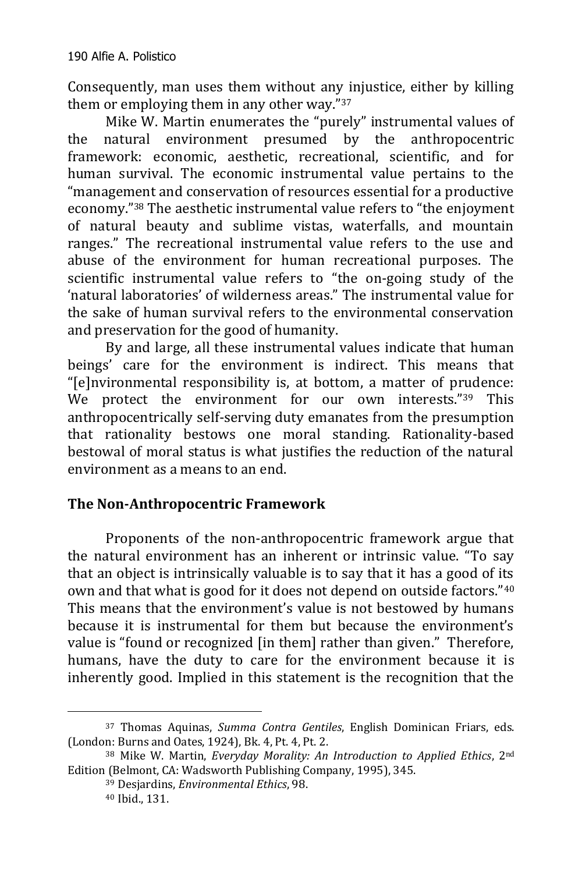Consequently, man uses them without any injustice, either by killing them or employing them in any other way."<sup>37</sup>

Mike W. Martin enumerates the "purely" instrumental values of the natural environment presumed by the anthropocentric framework: economic, aesthetic, recreational, scientific, and for human survival. The economic instrumental value pertains to the "management and conservation of resources essential for a productive economy."<sup>38</sup> The aesthetic instrumental value refers to "the enjoyment of natural beauty and sublime vistas, waterfalls, and mountain ranges." The recreational instrumental value refers to the use and abuse of the environment for human recreational purposes. The scientific instrumental value refers to "the on-going study of the 'natural laboratories' of wilderness areas." The instrumental value for the sake of human survival refers to the environmental conservation and preservation for the good of humanity.

By and large, all these instrumental values indicate that human beings' care for the environment is indirect. This means that "[e]nvironmental responsibility is, at bottom, a matter of prudence: We protect the environment for our own interests."39 This anthropocentrically self-serving duty emanates from the presumption that rationality bestows one moral standing. Rationality-based bestowal of moral status is what justifies the reduction of the natural environment as a means to an end.

# **The Non-Anthropocentric Framework**

Proponents of the non-anthropocentric framework argue that the natural environment has an inherent or intrinsic value. "To say that an object is intrinsically valuable is to say that it has a good of its own and that what is good for it does not depend on outside factors."<sup>40</sup> This means that the environment's value is not bestowed by humans because it is instrumental for them but because the environment's value is "found or recognized [in them] rather than given." Therefore, humans, have the duty to care for the environment because it is inherently good. Implied in this statement is the recognition that the

<sup>37</sup> Thomas Aquinas, *Summa Contra Gentiles*, English Dominican Friars, eds. (London: Burns and Oates, 1924), Bk. 4, Pt. 4, Pt. 2.

<sup>38</sup> Mike W. Martin, *Everyday Morality: An Introduction to Applied Ethics*, 2nd Edition (Belmont, CA: Wadsworth Publishing Company, 1995), 345.

<sup>39</sup> Desjardins, *Environmental Ethics*, 98.

<sup>40</sup> Ibid., 131.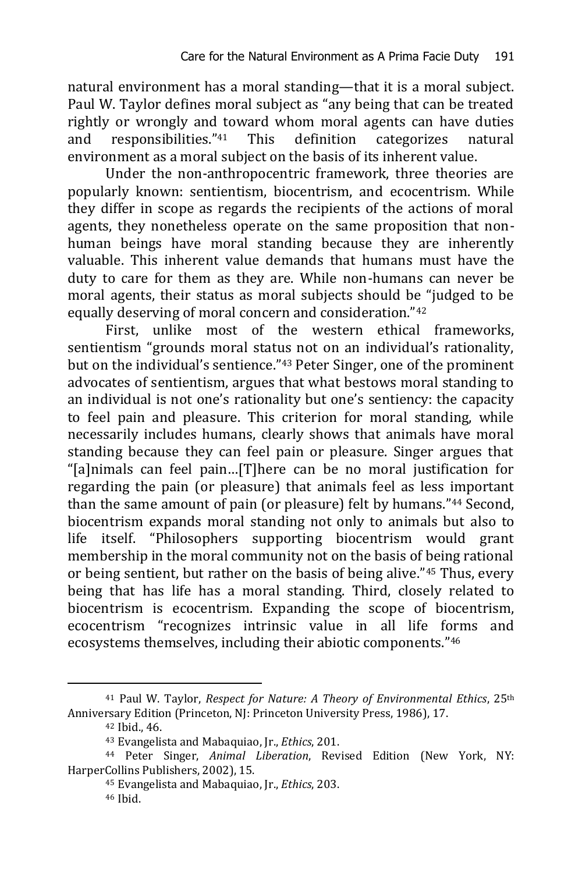natural environment has a moral standing—that it is a moral subject. Paul W. Taylor defines moral subject as "any being that can be treated rightly or wrongly and toward whom moral agents can have duties and responsibilities."<sup>41</sup> This definition categorizes natural environment as a moral subject on the basis of its inherent value.

Under the non-anthropocentric framework, three theories are popularly known: sentientism, biocentrism, and ecocentrism. While they differ in scope as regards the recipients of the actions of moral agents, they nonetheless operate on the same proposition that nonhuman beings have moral standing because they are inherently valuable. This inherent value demands that humans must have the duty to care for them as they are. While non-humans can never be moral agents, their status as moral subjects should be "judged to be equally deserving of moral concern and consideration."<sup>42</sup>

First, unlike most of the western ethical frameworks, sentientism "grounds moral status not on an individual's rationality, but on the individual's sentience."<sup>43</sup> Peter Singer, one of the prominent advocates of sentientism, argues that what bestows moral standing to an individual is not one's rationality but one's sentiency: the capacity to feel pain and pleasure. This criterion for moral standing, while necessarily includes humans, clearly shows that animals have moral standing because they can feel pain or pleasure. Singer argues that "[a]nimals can feel pain…[T]here can be no moral justification for regarding the pain (or pleasure) that animals feel as less important than the same amount of pain (or pleasure) felt by humans."<sup>44</sup> Second, biocentrism expands moral standing not only to animals but also to life itself. "Philosophers supporting biocentrism would grant membership in the moral community not on the basis of being rational or being sentient, but rather on the basis of being alive."<sup>45</sup> Thus, every being that has life has a moral standing. Third, closely related to biocentrism is ecocentrism. Expanding the scope of biocentrism, ecocentrism "recognizes intrinsic value in all life forms and ecosystems themselves, including their abiotic components."<sup>46</sup>

<sup>41</sup> Paul W. Taylor, *Respect for Nature: A Theory of Environmental Ethics*, 25th Anniversary Edition (Princeton, NJ: Princeton University Press, 1986), 17.

<sup>42</sup> Ibid., 46.

<sup>43</sup> Evangelista and Mabaquiao, Jr., *Ethics*, 201.

<sup>44</sup> Peter Singer, *Animal Liberation*, Revised Edition (New York, NY: HarperCollins Publishers, 2002), 15.

<sup>45</sup> Evangelista and Mabaquiao, Jr., *Ethics*, 203. <sup>46</sup> Ibid.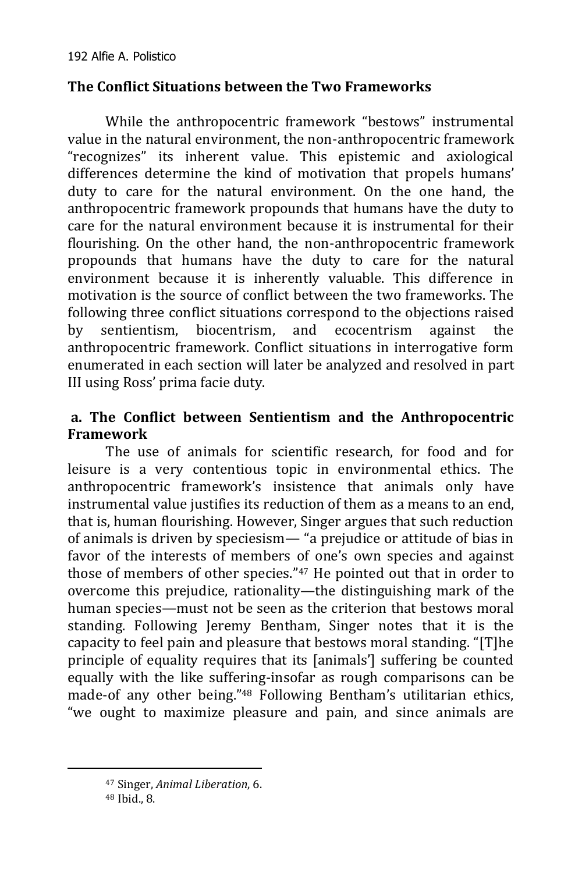## **The Conflict Situations between the Two Frameworks**

While the anthropocentric framework "bestows" instrumental value in the natural environment, the non-anthropocentric framework "recognizes" its inherent value. This epistemic and axiological differences determine the kind of motivation that propels humans' duty to care for the natural environment. On the one hand, the anthropocentric framework propounds that humans have the duty to care for the natural environment because it is instrumental for their flourishing. On the other hand, the non-anthropocentric framework propounds that humans have the duty to care for the natural environment because it is inherently valuable. This difference in motivation is the source of conflict between the two frameworks. The following three conflict situations correspond to the objections raised by sentientism, biocentrism, and ecocentrism against the anthropocentric framework. Conflict situations in interrogative form enumerated in each section will later be analyzed and resolved in part III using Ross' prima facie duty.

## **a. The Conflict between Sentientism and the Anthropocentric Framework**

The use of animals for scientific research, for food and for leisure is a very contentious topic in environmental ethics. The anthropocentric framework's insistence that animals only have instrumental value justifies its reduction of them as a means to an end, that is, human flourishing. However, Singer argues that such reduction of animals is driven by speciesism— "a prejudice or attitude of bias in favor of the interests of members of one's own species and against those of members of other species."<sup>47</sup> He pointed out that in order to overcome this prejudice, rationality—the distinguishing mark of the human species—must not be seen as the criterion that bestows moral standing. Following Jeremy Bentham, Singer notes that it is the capacity to feel pain and pleasure that bestows moral standing. "[T]he principle of equality requires that its [animals'] suffering be counted equally with the like suffering-insofar as rough comparisons can be made-of any other being."<sup>48</sup> Following Bentham's utilitarian ethics, "we ought to maximize pleasure and pain, and since animals are

<sup>47</sup> Singer, *Animal Liberation*, 6.

<sup>48</sup> Ibid., 8.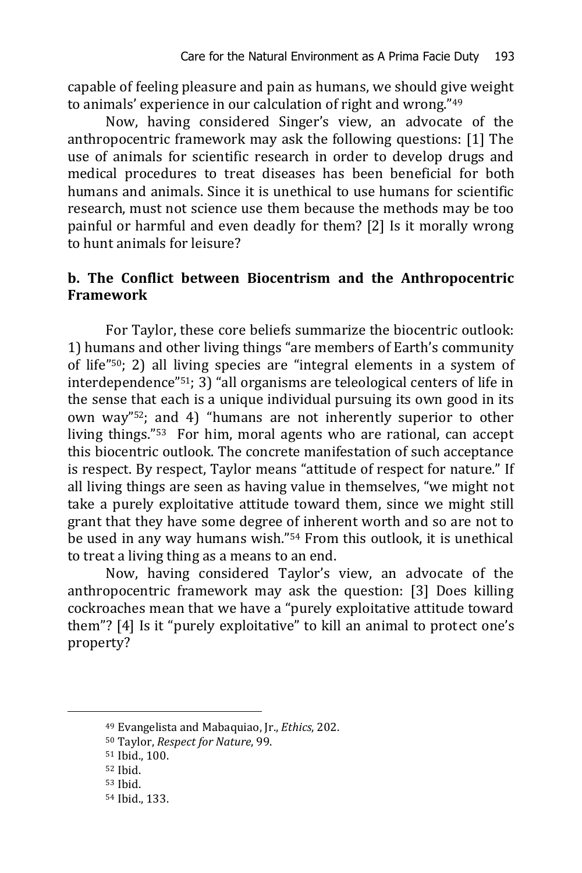capable of feeling pleasure and pain as humans, we should give weight to animals' experience in our calculation of right and wrong."<sup>49</sup>

Now, having considered Singer's view, an advocate of the anthropocentric framework may ask the following questions: [1] The use of animals for scientific research in order to develop drugs and medical procedures to treat diseases has been beneficial for both humans and animals. Since it is unethical to use humans for scientific research, must not science use them because the methods may be too painful or harmful and even deadly for them? [2] Is it morally wrong to hunt animals for leisure?

### **b. The Conflict between Biocentrism and the Anthropocentric Framework**

For Taylor, these core beliefs summarize the biocentric outlook: 1) humans and other living things "are members of Earth's community of life"50; 2) all living species are "integral elements in a system of interdependence"51; 3) "all organisms are teleological centers of life in the sense that each is a unique individual pursuing its own good in its own way"52; and 4) "humans are not inherently superior to other living things."53 For him, moral agents who are rational, can accept this biocentric outlook. The concrete manifestation of such acceptance is respect. By respect, Taylor means "attitude of respect for nature." If all living things are seen as having value in themselves, "we might not take a purely exploitative attitude toward them, since we might still grant that they have some degree of inherent worth and so are not to be used in any way humans wish."<sup>54</sup> From this outlook, it is unethical to treat a living thing as a means to an end.

Now, having considered Taylor's view, an advocate of the anthropocentric framework may ask the question: [3] Does killing cockroaches mean that we have a "purely exploitative attitude toward them"? [4] Is it "purely exploitative" to kill an animal to protect one's property?

<sup>49</sup> Evangelista and Mabaquiao, Jr., *Ethics*, 202.

<sup>50</sup> Taylor, *Respect for Nature*, 99.

<sup>51</sup> Ibid., 100.

<sup>52</sup> Ibid.

<sup>53</sup> Ibid.

<sup>54</sup> Ibid., 133.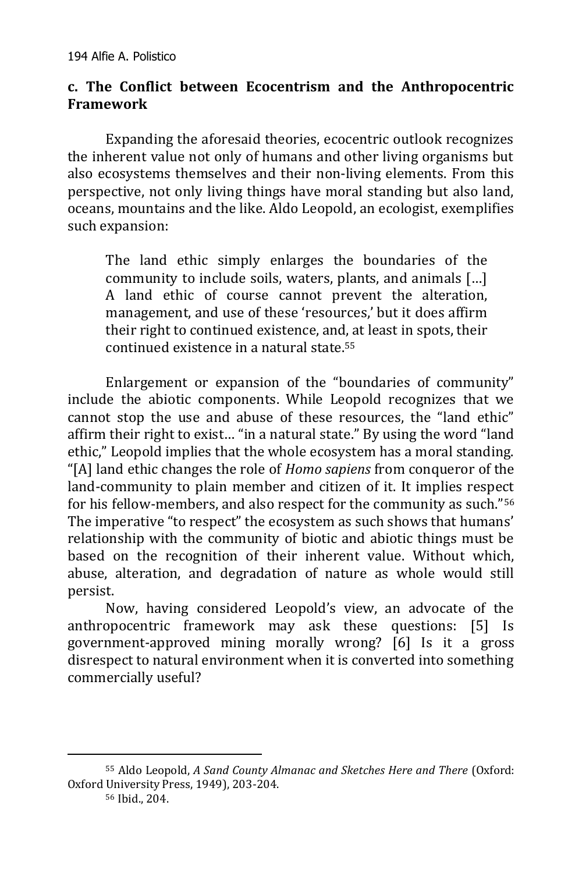#### **c. The Conflict between Ecocentrism and the Anthropocentric Framework**

Expanding the aforesaid theories, ecocentric outlook recognizes the inherent value not only of humans and other living organisms but also ecosystems themselves and their non-living elements. From this perspective, not only living things have moral standing but also land, oceans, mountains and the like. Aldo Leopold, an ecologist, exemplifies such expansion:

The land ethic simply enlarges the boundaries of the community to include soils, waters, plants, and animals […] A land ethic of course cannot prevent the alteration, management, and use of these 'resources,' but it does affirm their right to continued existence, and, at least in spots, their continued existence in a natural state.<sup>55</sup>

Enlargement or expansion of the "boundaries of community" include the abiotic components. While Leopold recognizes that we cannot stop the use and abuse of these resources, the "land ethic" affirm their right to exist… "in a natural state." By using the word "land ethic," Leopold implies that the whole ecosystem has a moral standing. "[A] land ethic changes the role of *Homo sapiens* from conqueror of the land-community to plain member and citizen of it. It implies respect for his fellow-members, and also respect for the community as such."<sup>56</sup> The imperative "to respect" the ecosystem as such shows that humans' relationship with the community of biotic and abiotic things must be based on the recognition of their inherent value. Without which, abuse, alteration, and degradation of nature as whole would still persist.

Now, having considered Leopold's view, an advocate of the anthropocentric framework may ask these questions: [5] Is government-approved mining morally wrong? [6] Is it a gross disrespect to natural environment when it is converted into something commercially useful?

<sup>55</sup> Aldo Leopold, *A Sand County Almanac and Sketches Here and There* (Oxford: Oxford University Press, 1949), 203-204.

<sup>56</sup> Ibid., 204.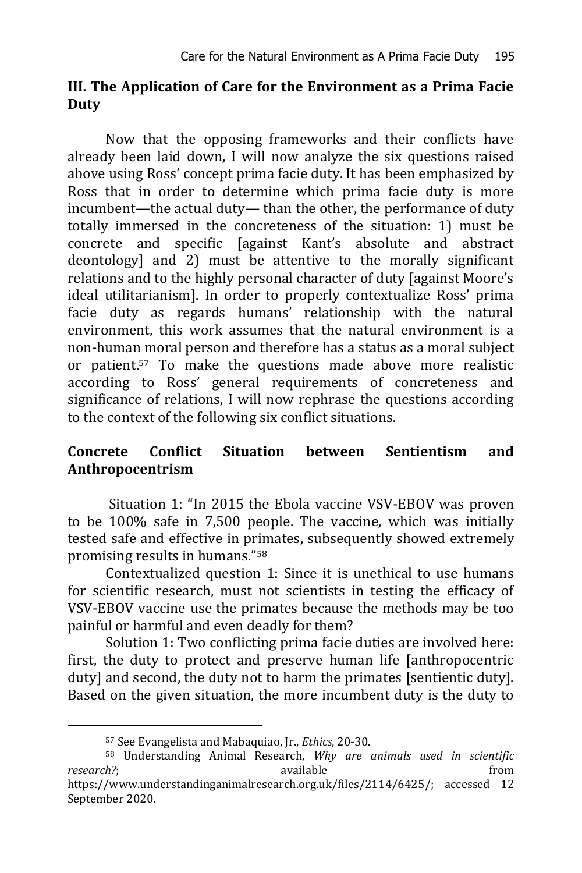#### **III. The Application of Care for the Environment as a Prima Facie Duty**

Now that the opposing frameworks and their conflicts have already been laid down, I will now analyze the six questions raised above using Ross' concept prima facie duty. It has been emphasized by Ross that in order to determine which prima facie duty is more incumbent—the actual duty— than the other, the performance of duty totally immersed in the concreteness of the situation: 1) must be concrete and specific [against Kant's absolute and abstract deontology] and 2) must be attentive to the morally significant relations and to the highly personal character of duty [against Moore's ideal utilitarianism]. In order to properly contextualize Ross' prima facie duty as regards humans' relationship with the natural environment, this work assumes that the natural environment is a non-human moral person and therefore has a status as a moral subject or patient.<sup>57</sup> To make the questions made above more realistic according to Ross' general requirements of concreteness and significance of relations, I will now rephrase the questions according to the context of the following six conflict situations.

## **Concrete Conflict Situation between Sentientism and Anthropocentrism**

Situation 1: "In 2015 the Ebola vaccine VSV-EBOV was proven to be 100% safe in 7,500 people. The vaccine, which was initially tested safe and effective in primates, subsequently showed extremely promising results in humans."<sup>58</sup>

Contextualized question 1: Since it is unethical to use humans for scientific research, must not scientists in testing the efficacy of VSV-EBOV vaccine use the primates because the methods may be too painful or harmful and even deadly for them?

Solution 1: Two conflicting prima facie duties are involved here: first, the duty to protect and preserve human life [anthropocentric duty] and second, the duty not to harm the primates [sentientic duty]. Based on the given situation, the more incumbent duty is the duty to

<sup>57</sup> See Evangelista and Mabaquiao, Jr., *Ethics*, 20-30.

<sup>58</sup> Understanding Animal Research, *Why are animals used in scientific research?***;** available from *research?* [https://www.understandinganimalresearch.org.uk/files/2114/6425/;](https://www.understandinganimalresearch.org.uk/files/2114/6425/) accessed 12 September 2020.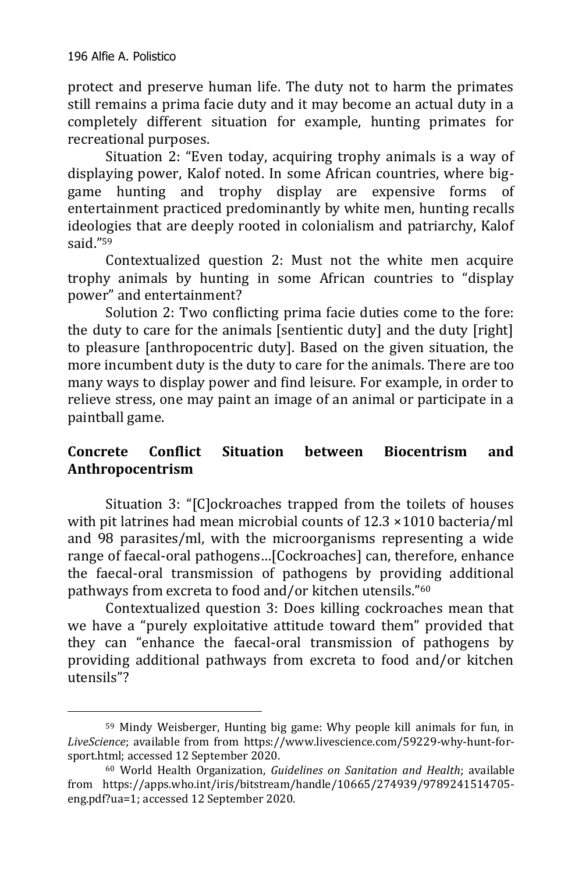-

protect and preserve human life. The duty not to harm the primates still remains a prima facie duty and it may become an actual duty in a completely different situation for example, hunting primates for recreational purposes.

Situation 2: "Even today, acquiring trophy animals is a way of displaying power, Kalof noted. In some African countries, where biggame hunting and trophy display are expensive forms of entertainment practiced predominantly by white men, hunting recalls ideologies that are deeply rooted in colonialism and patriarchy, Kalof said."<sup>59</sup>

Contextualized question 2: Must not the white men acquire trophy animals by hunting in some African countries to "display power" and entertainment?

Solution 2: Two conflicting prima facie duties come to the fore: the duty to care for the animals [sentientic duty] and the duty [right] to pleasure [anthropocentric duty]. Based on the given situation, the more incumbent duty is the duty to care for the animals. There are too many ways to display power and find leisure. For example, in order to relieve stress, one may paint an image of an animal or participate in a paintball game.

# **Concrete Conflict Situation between Biocentrism and Anthropocentrism**

Situation 3: "[C]ockroaches trapped from the toilets of houses with pit latrines had mean microbial counts of 12.3 ×1010 bacteria/ml and 98 parasites/ml, with the microorganisms representing a wide range of faecal-oral pathogens…[Cockroaches] can, therefore, enhance the faecal-oral transmission of pathogens by providing additional pathways from excreta to food and/or kitchen utensils."<sup>60</sup>

Contextualized question 3: Does killing cockroaches mean that we have a "purely exploitative attitude toward them" provided that they can "enhance the faecal-oral transmission of pathogens by providing additional pathways from excreta to food and/or kitchen utensils"?

<sup>59</sup> Mindy Weisberger, Hunting big game: Why people kill animals for fun, in *LiveScience*; available from from [https://www.livescience.com/59229-why-hunt-for](https://www.livescience.com/59229-why-hunt-for-sport.html)[sport.html;](https://www.livescience.com/59229-why-hunt-for-sport.html) accessed 12 September 2020.

<sup>60</sup> World Health Organization, *Guidelines on Sanitation and Health*; available from [https://apps.who.int/iris/bitstream/handle/10665/274939/9789241514705](https://apps.who.int/iris/bitstream/handle/10665/274939/9789241514705-eng.pdf?ua=1) [eng.pdf?ua=1;](https://apps.who.int/iris/bitstream/handle/10665/274939/9789241514705-eng.pdf?ua=1) accessed 12 September 2020.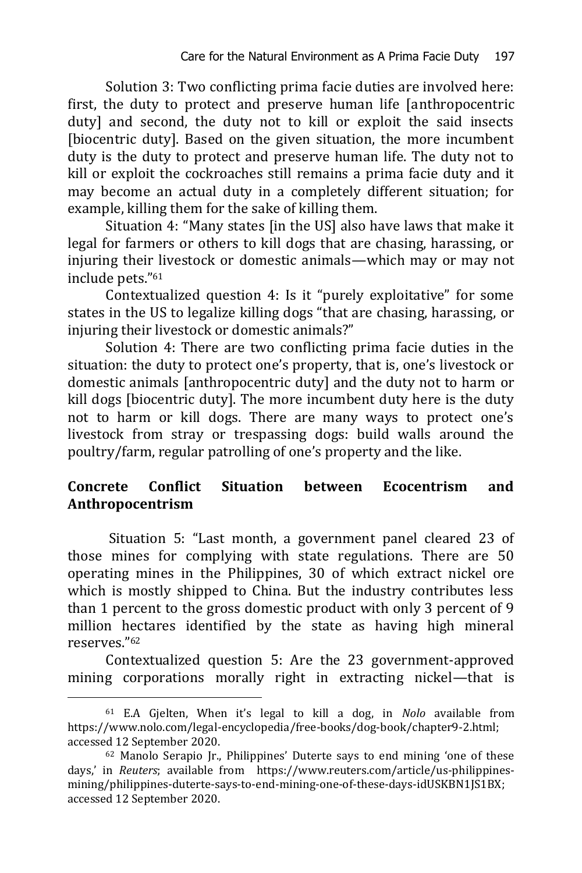Solution 3: Two conflicting prima facie duties are involved here: first, the duty to protect and preserve human life [anthropocentric duty] and second, the duty not to kill or exploit the said insects [biocentric duty]. Based on the given situation, the more incumbent duty is the duty to protect and preserve human life. The duty not to kill or exploit the cockroaches still remains a prima facie duty and it may become an actual duty in a completely different situation; for example, killing them for the sake of killing them.

Situation 4: "Many states [in the US] also have laws that make it legal for farmers or others to kill dogs that are chasing, harassing, or injuring their livestock or domestic animals—which may or may not include pets."<sup>61</sup>

Contextualized question 4: Is it "purely exploitative" for some states in the US to legalize killing dogs "that are chasing, harassing, or injuring their livestock or domestic animals?"

Solution 4: There are two conflicting prima facie duties in the situation: the duty to protect one's property, that is, one's livestock or domestic animals [anthropocentric duty] and the duty not to harm or kill dogs [biocentric duty]. The more incumbent duty here is the duty not to harm or kill dogs. There are many ways to protect one's livestock from stray or trespassing dogs: build walls around the poultry/farm, regular patrolling of one's property and the like.

## **Concrete Conflict Situation between Ecocentrism and Anthropocentrism**

Situation 5: "Last month, a government panel cleared 23 of those mines for complying with state regulations. There are 50 operating mines in the Philippines, 30 of which extract nickel ore which is mostly shipped to China. But the industry contributes less than 1 percent to the gross domestic product with only 3 percent of 9 million hectares identified by the state as having high mineral reserves."<sup>62</sup>

Contextualized question 5: Are the 23 government-approved mining corporations morally right in extracting nickel—that is

<sup>61</sup> E.A Gjelten, When it's legal to kill a dog, in *Nolo* available from https://www.nolo.com/legal-encyclopedia/free-books/dog-book/chapter9-2.html; accessed 12 September 2020.

<sup>62</sup> Manolo Serapio Jr., Philippines' Duterte says to end mining 'one of these days,' in *Reuters*; available from [https://www.reuters.com/article/us-philippines](https://www.reuters.com/article/us-philippines-mining/philippines-duterte-says-to-end-mining-one-of-these-days-idUSKBN1JS1BX)[mining/philippines-duterte-says-to-end-mining-one-of-these-days-idUSKBN1JS1BX;](https://www.reuters.com/article/us-philippines-mining/philippines-duterte-says-to-end-mining-one-of-these-days-idUSKBN1JS1BX) accessed 12 September 2020.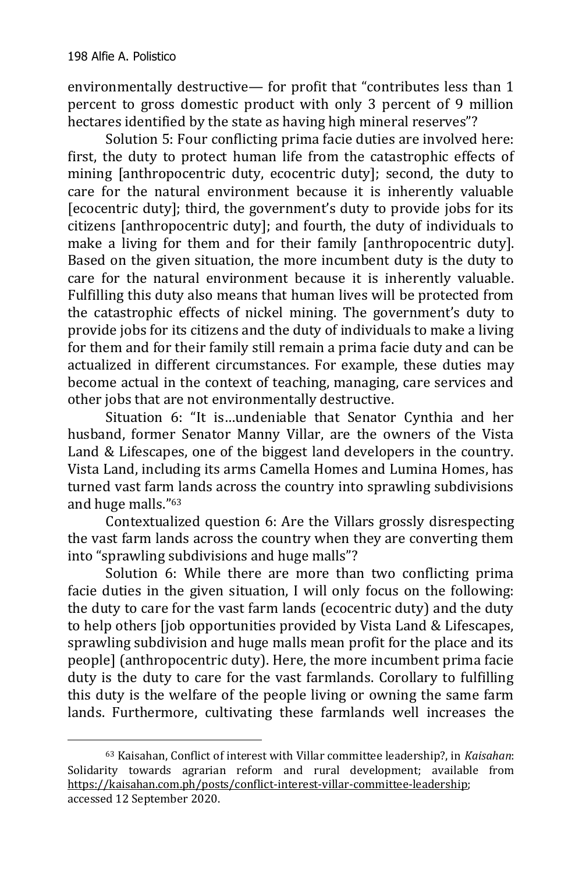-

environmentally destructive— for profit that "contributes less than 1 percent to gross domestic product with only 3 percent of 9 million hectares identified by the state as having high mineral reserves"?

Solution 5: Four conflicting prima facie duties are involved here: first, the duty to protect human life from the catastrophic effects of mining [anthropocentric duty, ecocentric duty]; second, the duty to care for the natural environment because it is inherently valuable [ecocentric duty]; third, the government's duty to provide jobs for its citizens [anthropocentric duty]; and fourth, the duty of individuals to make a living for them and for their family [anthropocentric duty]. Based on the given situation, the more incumbent duty is the duty to care for the natural environment because it is inherently valuable. Fulfilling this duty also means that human lives will be protected from the catastrophic effects of nickel mining. The government's duty to provide jobs for its citizens and the duty of individuals to make a living for them and for their family still remain a prima facie duty and can be actualized in different circumstances. For example, these duties may become actual in the context of teaching, managing, care services and other jobs that are not environmentally destructive.

Situation 6: "It is…undeniable that Senator Cynthia and her husband, former Senator Manny Villar, are the owners of the Vista Land & Lifescapes, one of the biggest land developers in the country. Vista Land, including its arms Camella Homes and Lumina Homes, has turned vast farm lands across the country into sprawling subdivisions and huge malls."<sup>63</sup>

Contextualized question 6: Are the Villars grossly disrespecting the vast farm lands across the country when they are converting them into "sprawling subdivisions and huge malls"?

Solution 6: While there are more than two conflicting prima facie duties in the given situation, I will only focus on the following: the duty to care for the vast farm lands (ecocentric duty) and the duty to help others [job opportunities provided by Vista Land & Lifescapes, sprawling subdivision and huge malls mean profit for the place and its people] (anthropocentric duty). Here, the more incumbent prima facie duty is the duty to care for the vast farmlands. Corollary to fulfilling this duty is the welfare of the people living or owning the same farm lands. Furthermore, cultivating these farmlands well increases the

<sup>63</sup> Kaisahan, Conflict of interest with Villar committee leadership?, in *Kaisahan*: Solidarity towards agrarian reform and rural development; available from [https://kaisahan.com.ph/posts/conflict-interest-villar-committee-leadership;](https://kaisahan.com.ph/posts/conflict-interest-villar-committee-leadership) accessed 12 September 2020.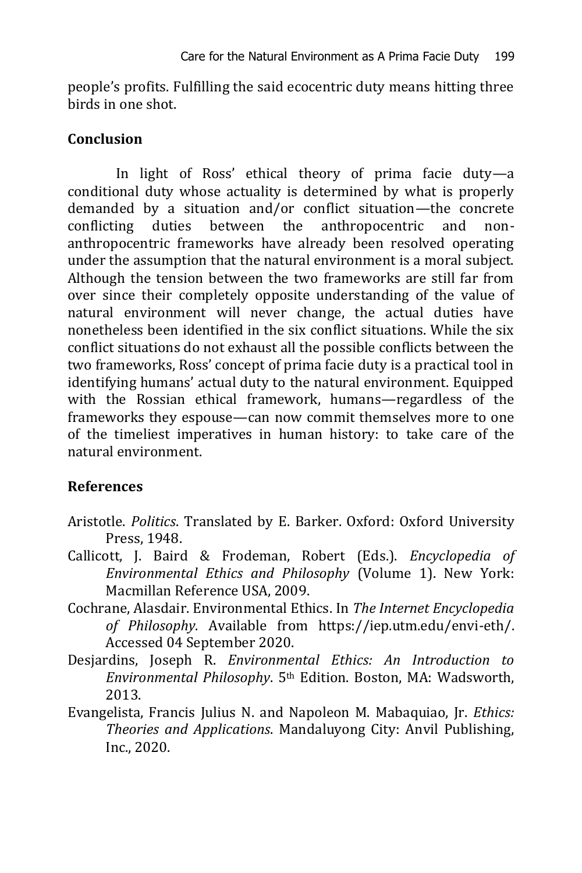people's profits. Fulfilling the said ecocentric duty means hitting three birds in one shot.

### **Conclusion**

In light of Ross' ethical theory of prima facie duty—a conditional duty whose actuality is determined by what is properly demanded by a situation and/or conflict situation—the concrete conflicting duties between the anthropocentric and nonanthropocentric frameworks have already been resolved operating under the assumption that the natural environment is a moral subject. Although the tension between the two frameworks are still far from over since their completely opposite understanding of the value of natural environment will never change, the actual duties have nonetheless been identified in the six conflict situations. While the six conflict situations do not exhaust all the possible conflicts between the two frameworks, Ross' concept of prima facie duty is a practical tool in identifying humans' actual duty to the natural environment. Equipped with the Rossian ethical framework, humans—regardless of the frameworks they espouse—can now commit themselves more to one of the timeliest imperatives in human history: to take care of the natural environment.

# **References**

- Aristotle. *Politics*. Translated by E. Barker. Oxford: Oxford University Press, 1948.
- Callicott, J. Baird & Frodeman, Robert (Eds.). *Encyclopedia of Environmental Ethics and Philosophy* (Volume 1). New York: Macmillan Reference USA, 2009.
- Cochrane, Alasdair. Environmental Ethics. In *The Internet Encyclopedia of Philosophy*. Available from [https://iep.utm.edu/envi-eth/.](https://iep.utm.edu/envi-eth/)  Accessed 04 September 2020.
- Desjardins, Joseph R. *Environmental Ethics: An Introduction to Environmental Philosophy*. 5th Edition. Boston, MA: Wadsworth, 2013.
- Evangelista, Francis Julius N. and Napoleon M. Mabaquiao, Jr. *Ethics: Theories and Applications*. Mandaluyong City: Anvil Publishing, Inc., 2020.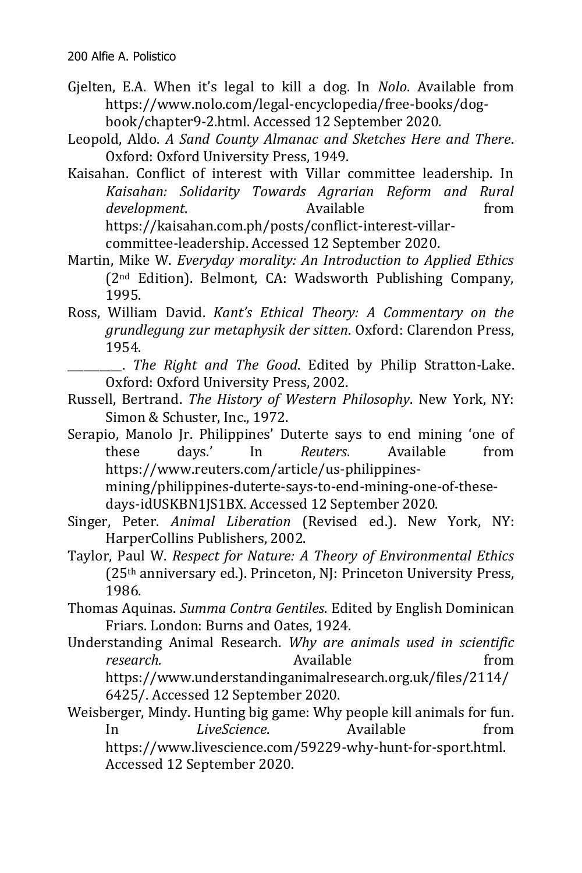- Gjelten, E.A. When it's legal to kill a dog. In *Nolo*. Available from [https://www.nolo.com/legal-encyclopedia/free-books/dog](https://www.nolo.com/legal-encyclopedia/free-books/dog-book/chapter9-2.html)[book/chapter9-2.html.](https://www.nolo.com/legal-encyclopedia/free-books/dog-book/chapter9-2.html) Accessed 12 September 2020.
- Leopold, Aldo. *A Sand County Almanac and Sketches Here and There*. Oxford: Oxford University Press, 1949.
- Kaisahan. Conflict of interest with Villar committee leadership. In *Kaisahan: Solidarity Towards Agrarian Reform and Rural development*. Available **from** [https://kaisahan.com.ph/posts/conflict-interest-villar](https://kaisahan.com.ph/posts/conflict-interest-villar-committee-leadership)[committee-leadership.](https://kaisahan.com.ph/posts/conflict-interest-villar-committee-leadership) Accessed 12 September 2020.
- Martin, Mike W. *Everyday morality: An Introduction to Applied Ethics* (2nd Edition). Belmont, CA: Wadsworth Publishing Company, 1995.
- Ross, William David. *Kant's Ethical Theory: A Commentary on the grundlegung zur metaphysik der sitten*. Oxford: Clarendon Press, 1954.
	- \_\_\_\_\_\_\_\_\_\_. *The Right and The Good*. Edited by Philip Stratton-Lake. Oxford: Oxford University Press, 2002.
- Russell, Bertrand. *The History of Western Philosophy*. New York, NY: Simon & Schuster, Inc., 1972.
- Serapio, Manolo Jr. Philippines' Duterte says to end mining 'one of these days.' In *Reuters*. Available from [https://www.reuters.com/article/us-philippines-](https://www.reuters.com/article/us-philippines-mining/philippines-duterte-says-to-end-mining-one-of-these-days-idUSKBN1JS1BX)

[mining/philippines-duterte-says-to-end-mining-one-of-these](https://www.reuters.com/article/us-philippines-mining/philippines-duterte-says-to-end-mining-one-of-these-days-idUSKBN1JS1BX)[days-idUSKBN1JS1BX.](https://www.reuters.com/article/us-philippines-mining/philippines-duterte-says-to-end-mining-one-of-these-days-idUSKBN1JS1BX) Accessed 12 September 2020.

- Singer, Peter. *Animal Liberation* (Revised ed.). New York, NY: HarperCollins Publishers, 2002.
- Taylor, Paul W. *Respect for Nature: A Theory of Environmental Ethics* (25th anniversary ed.). Princeton, NJ: Princeton University Press, 1986.
- Thomas Aquinas. *Summa Contra Gentiles*. Edited by English Dominican Friars. London: Burns and Oates, 1924.
- Understanding Animal Research. *Why are animals used in scientific research.* **Available** *Available from* [https://www.understandinganimalresearch.org.uk/files/2114/](https://www.understandinganimalresearch.org.uk/files/2114/6425/.f) [6425/.](https://www.understandinganimalresearch.org.uk/files/2114/6425/.f) Accessed 12 September 2020.
- Weisberger, Mindy. Hunting big game: Why people kill animals for fun. In *LiveScience*. Available from https://www.livescience.com/59229-why-hunt-for-sport.html. Accessed 12 September 2020.